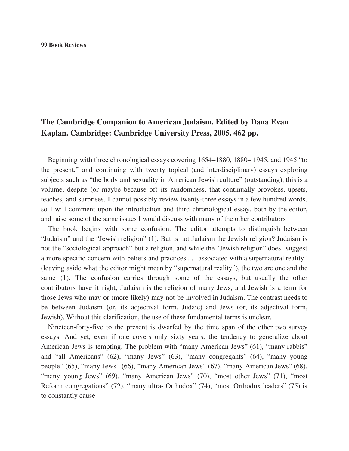#### **99 Book Reviews**

# **The Cambridge Companion to American Judaism. Edited by Dana Evan Kaplan. Cambridge: Cambridge University Press, 2005. 462 pp.**

Beginning with three chronological essays covering 1654–1880, 1880– 1945, and 1945 "to the present," and continuing with twenty topical (and interdisciplinary) essays exploring subjects such as "the body and sexuality in American Jewish culture" (outstanding), this is a volume, despite (or maybe because of) its randomness, that continually provokes, upsets, teaches, and surprises. I cannot possibly review twenty-three essays in a few hundred words, so I will comment upon the introduction and third chronological essay, both by the editor, and raise some of the same issues I would discuss with many of the other contributors

The book begins with some confusion. The editor attempts to distinguish between "Judaism" and the "Jewish religion" (1). But is not Judaism the Jewish religion? Judaism is not the "sociological approach" but a religion, and while the "Jewish religion" does "suggest a more specific concern with beliefs and practices . . . associated with a supernatural reality" (leaving aside what the editor might mean by "supernatural reality"), the two are one and the same (1). The confusion carries through some of the essays, but usually the other contributors have it right; Judaism is the religion of many Jews, and Jewish is a term for those Jews who may or (more likely) may not be involved in Judaism. The contrast needs to be between Judaism (or, its adjectival form, Judaic) and Jews (or, its adjectival form, Jewish). Without this clarification, the use of these fundamental terms is unclear.

Nineteen-forty-five to the present is dwarfed by the time span of the other two survey essays. And yet, even if one covers only sixty years, the tendency to generalize about American Jews is tempting. The problem with "many American Jews" (61), "many rabbis" and "all Americans" (62), "many Jews" (63), "many congregants" (64), "many young people" (65), "many Jews" (66), "many American Jews" (67), "many American Jews" (68), "many young Jews" (69), "many American Jews" (70), "most other Jews" (71), "most Reform congregations" (72), "many ultra- Orthodox" (74), "most Orthodox leaders" (75) is to constantly cause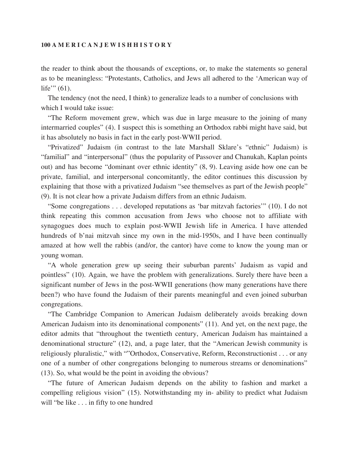## **100 A M E R I C A N J E W I S H H I S T O R Y**

the reader to think about the thousands of exceptions, or, to make the statements so general as to be meaningless: "Protestants, Catholics, and Jews all adhered to the 'American way of life'"  $(61)$ .

The tendency (not the need, I think) to generalize leads to a number of conclusions with which I would take issue:

"The Reform movement grew, which was due in large measure to the joining of many intermarried couples" (4). I suspect this is something an Orthodox rabbi might have said, but it has absolutely no basis in fact in the early post-WWII period.

"Privatized" Judaism (in contrast to the late Marshall Sklare's "ethnic" Judaism) is "familial" and "interpersonal" (thus the popularity of Passover and Chanukah, Kaplan points out) and has become "dominant over ethnic identity" (8, 9). Leaving aside how one can be private, familial, and interpersonal concomitantly, the editor continues this discussion by explaining that those with a privatized Judaism "see themselves as part of the Jewish people" (9). It is not clear how a private Judaism differs from an ethnic Judaism.

"Some congregations . . . developed reputations as 'bar mitzvah factories'" (10). I do not think repeating this common accusation from Jews who choose not to affiliate with synagogues does much to explain post-WWII Jewish life in America. I have attended hundreds of b'nai mitzvah since my own in the mid-1950s, and I have been continually amazed at how well the rabbis (and/or, the cantor) have come to know the young man or young woman.

"A whole generation grew up seeing their suburban parents' Judaism as vapid and pointless" (10). Again, we have the problem with generalizations. Surely there have been a significant number of Jews in the post-WWII generations (how many generations have there been?) who have found the Judaism of their parents meaningful and even joined suburban congregations.

"The Cambridge Companion to American Judaism deliberately avoids breaking down American Judaism into its denominational components" (11). And yet, on the next page, the editor admits that "throughout the twentieth century, American Judaism has maintained a denominational structure" (12), and, a page later, that the "American Jewish community is religiously pluralistic," with ""Orthodox, Conservative, Reform, Reconstructionist . . . or any one of a number of other congregations belonging to numerous streams or denominations" (13). So, what would be the point in avoiding the obvious?

"The future of American Judaism depends on the ability to fashion and market a compelling religious vision" (15). Notwithstanding my in- ability to predict what Judaism will "be like . . . in fifty to one hundred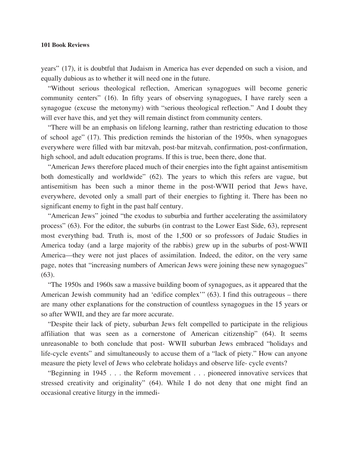#### **101 Book Reviews**

years" (17), it is doubtful that Judaism in America has ever depended on such a vision, and equally dubious as to whether it will need one in the future.

"Without serious theological reflection, American synagogues will become generic community centers" (16). In fifty years of observing synagogues, I have rarely seen a synagogue (excuse the metonymy) with "serious theological reflection." And I doubt they will ever have this, and yet they will remain distinct from community centers.

"There will be an emphasis on lifelong learning, rather than restricting education to those of school age" (17). This prediction reminds the historian of the 1950s, when synagogues everywhere were filled with bar mitzvah, post-bar mitzvah, confirmation, post-confirmation, high school, and adult education programs. If this is true, been there, done that.

"American Jews therefore placed much of their energies into the fight against antisemitism both domestically and worldwide" (62). The years to which this refers are vague, but antisemitism has been such a minor theme in the post-WWII period that Jews have, everywhere, devoted only a small part of their energies to fighting it. There has been no significant enemy to fight in the past half century.

"American Jews" joined "the exodus to suburbia and further accelerating the assimilatory process" (63). For the editor, the suburbs (in contrast to the Lower East Side, 63), represent most everything bad. Truth is, most of the 1,500 or so professors of Judaic Studies in America today (and a large majority of the rabbis) grew up in the suburbs of post-WWII America—they were not just places of assimilation. Indeed, the editor, on the very same page, notes that "increasing numbers of American Jews were joining these new synagogues" (63).

"The 1950s and 1960s saw a massive building boom of synagogues, as it appeared that the American Jewish community had an 'edifice complex'" (63). I find this outrageous – there are many other explanations for the construction of countless synagogues in the 15 years or so after WWII, and they are far more accurate.

"Despite their lack of piety, suburban Jews felt compelled to participate in the religious affiliation that was seen as a cornerstone of American citizenship" (64). It seems unreasonable to both conclude that post- WWII suburban Jews embraced "holidays and life-cycle events" and simultaneously to accuse them of a "lack of piety." How can anyone measure the piety level of Jews who celebrate holidays and observe life- cycle events?

"Beginning in 1945 . . . the Reform movement . . . pioneered innovative services that stressed creativity and originality" (64). While I do not deny that one might find an occasional creative liturgy in the immedi-